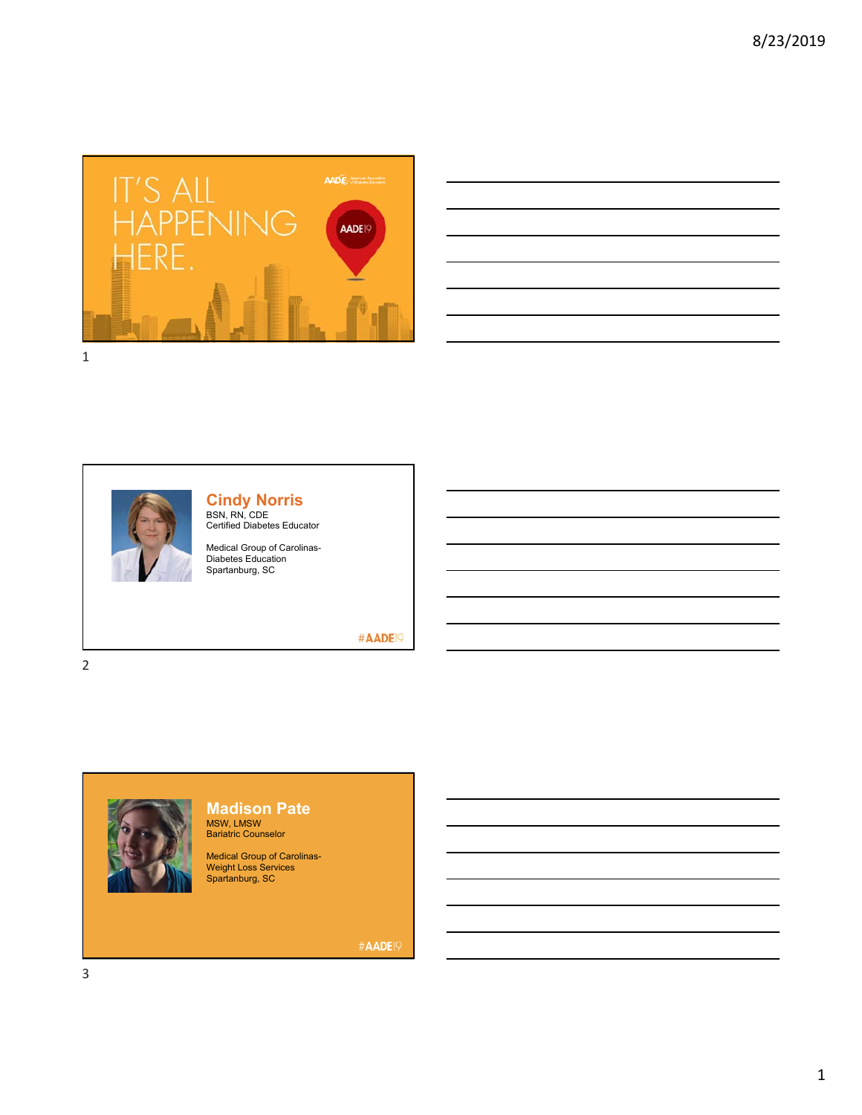

| <u> Alexandro de la contrada de la contrada de la contrada de la contrada de la contrada de la contrada de la co</u><br>and the control of the control of the control of the control of the control of the control of the control of the<br><u> Alexandro de la contrada de la contrada de la contrada de la contrada de la contrada de la contrada de la co</u><br>the contract of the contract of the contract of the contract of the contract of the contract of the contract of<br><u> 1989 - Andrea Andrew Maria (h. 1989).</u><br><u> 1989 - Johann Stoff, deutscher Stoffen und der Stoffen und der Stoffen und der Stoffen und der Stoffen und der</u> |  |  |  |
|----------------------------------------------------------------------------------------------------------------------------------------------------------------------------------------------------------------------------------------------------------------------------------------------------------------------------------------------------------------------------------------------------------------------------------------------------------------------------------------------------------------------------------------------------------------------------------------------------------------------------------------------------------------|--|--|--|
|                                                                                                                                                                                                                                                                                                                                                                                                                                                                                                                                                                                                                                                                |  |  |  |
|                                                                                                                                                                                                                                                                                                                                                                                                                                                                                                                                                                                                                                                                |  |  |  |
|                                                                                                                                                                                                                                                                                                                                                                                                                                                                                                                                                                                                                                                                |  |  |  |
|                                                                                                                                                                                                                                                                                                                                                                                                                                                                                                                                                                                                                                                                |  |  |  |
|                                                                                                                                                                                                                                                                                                                                                                                                                                                                                                                                                                                                                                                                |  |  |  |
|                                                                                                                                                                                                                                                                                                                                                                                                                                                                                                                                                                                                                                                                |  |  |  |
|                                                                                                                                                                                                                                                                                                                                                                                                                                                                                                                                                                                                                                                                |  |  |  |
|                                                                                                                                                                                                                                                                                                                                                                                                                                                                                                                                                                                                                                                                |  |  |  |
|                                                                                                                                                                                                                                                                                                                                                                                                                                                                                                                                                                                                                                                                |  |  |  |
|                                                                                                                                                                                                                                                                                                                                                                                                                                                                                                                                                                                                                                                                |  |  |  |



## **Cindy Norris**

BSN, RN, CDE<br>Certified Diabetes Educator

Medical Group of Carolinas-Diabetes Education Spartanburg, SC

#AADE<sup>19</sup>

2



## **Madison Pate** MSW, LMSW Bariatric Counselor

Medical Group of Carolinas-Weight Loss Services Spartanburg, SC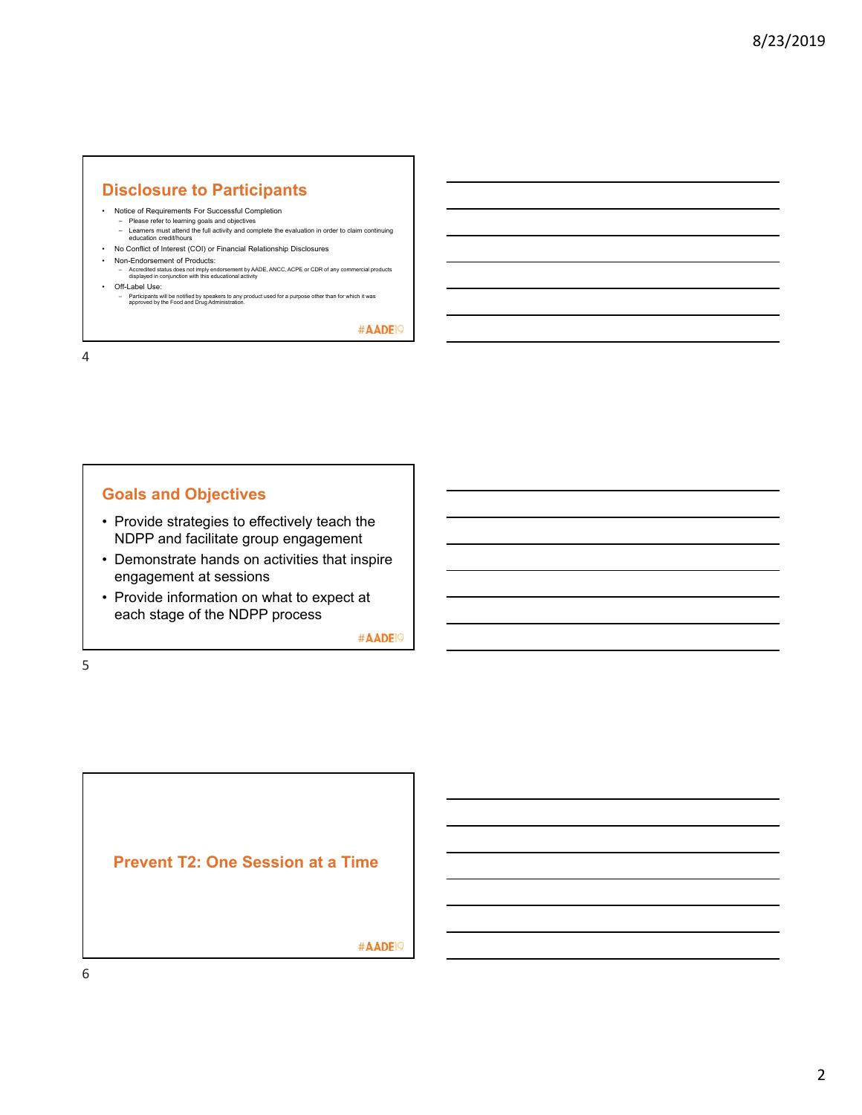### **Disclosure to Participants**

- Notice of Requirements For Successful Completion
- Please refer to learning goals and objectives Learners must attend the full activity and complete the evaluation in order to claim continuing education credit/hours
- No Conflict of Interest (COI) or Financial Relationship Disclosures
- Non-Endorsement of Products:
- Accredited status does not imply endorsement by AADE, ANCC, ACPE or CDR of any commercial products displayed in conjunction with this educational activity • Off-Label Use:
	- Participants will be notified by speakers to any product used for a purpose other than for which it was approved by the Food and Drug Administration.

#AADE<sup>19</sup>

4

### **Goals and Objectives**

- Provide strategies to effectively teach the NDPP and facilitate group engagement
- Demonstrate hands on activities that inspire engagement at sessions
- Provide information on what to expect at each stage of the NDPP process

#AADE<sup>19</sup>

5

**Prevent T2: One Session at a Time**

#AADE<sup>19</sup>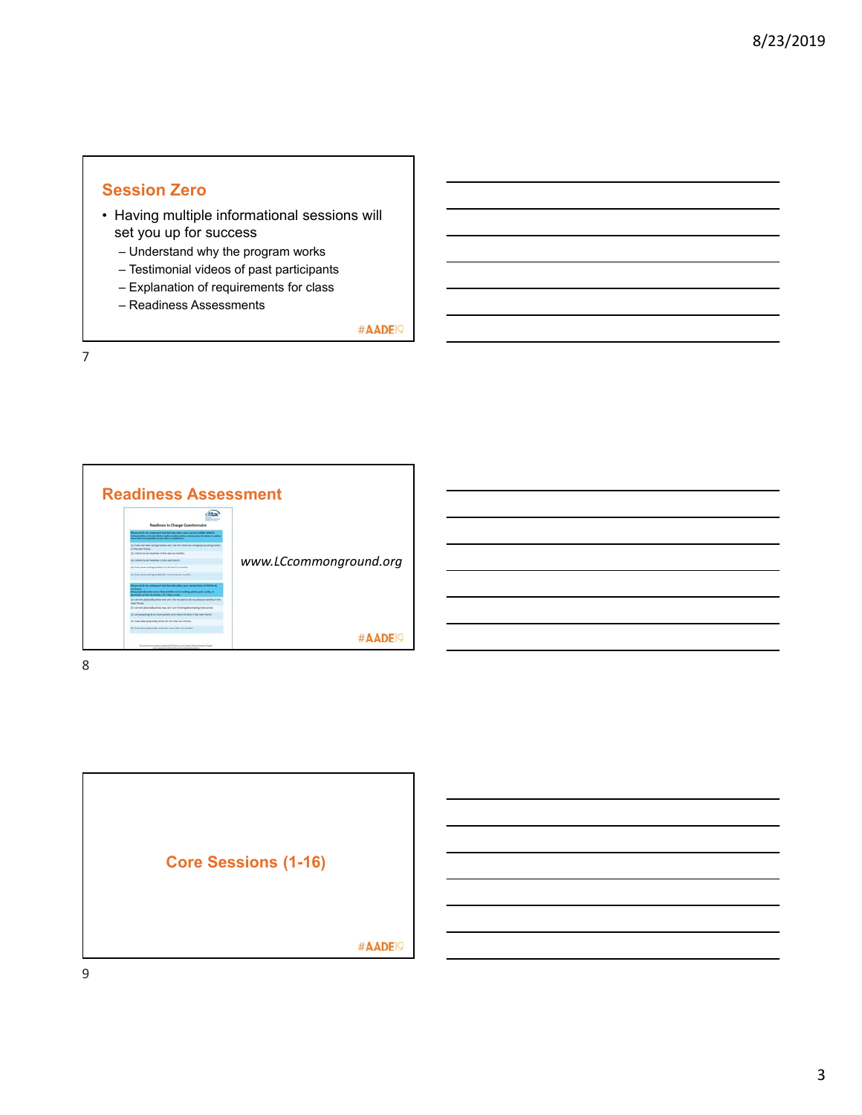## **Session Zero**

- Having multiple informational sessions will set you up for success
	- Understand why the program works
	- Testimonial videos of past participants
	- Explanation of requirements for class
	- Readiness Assessments

#AADE<sup>19</sup>



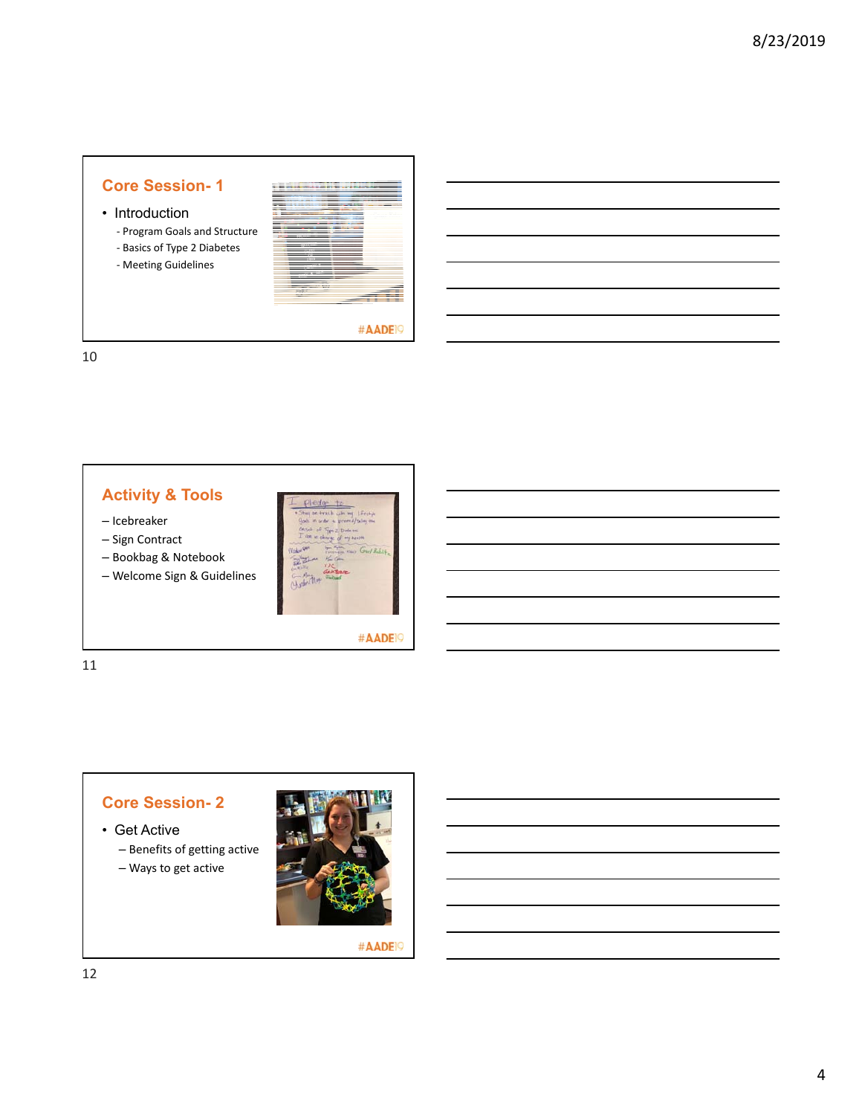• Introduction

‐ Program Goals and Structure

‐ Basics of Type 2 Diabetes

‐ Meeting Guidelines



#AADE<sup>19</sup>

10

## **Activity & Tools**

– Icebreaker

- Sign Contract
- Bookbag & Notebook
- Welcome Sign & Guidelines



#AADE<sup>19</sup>

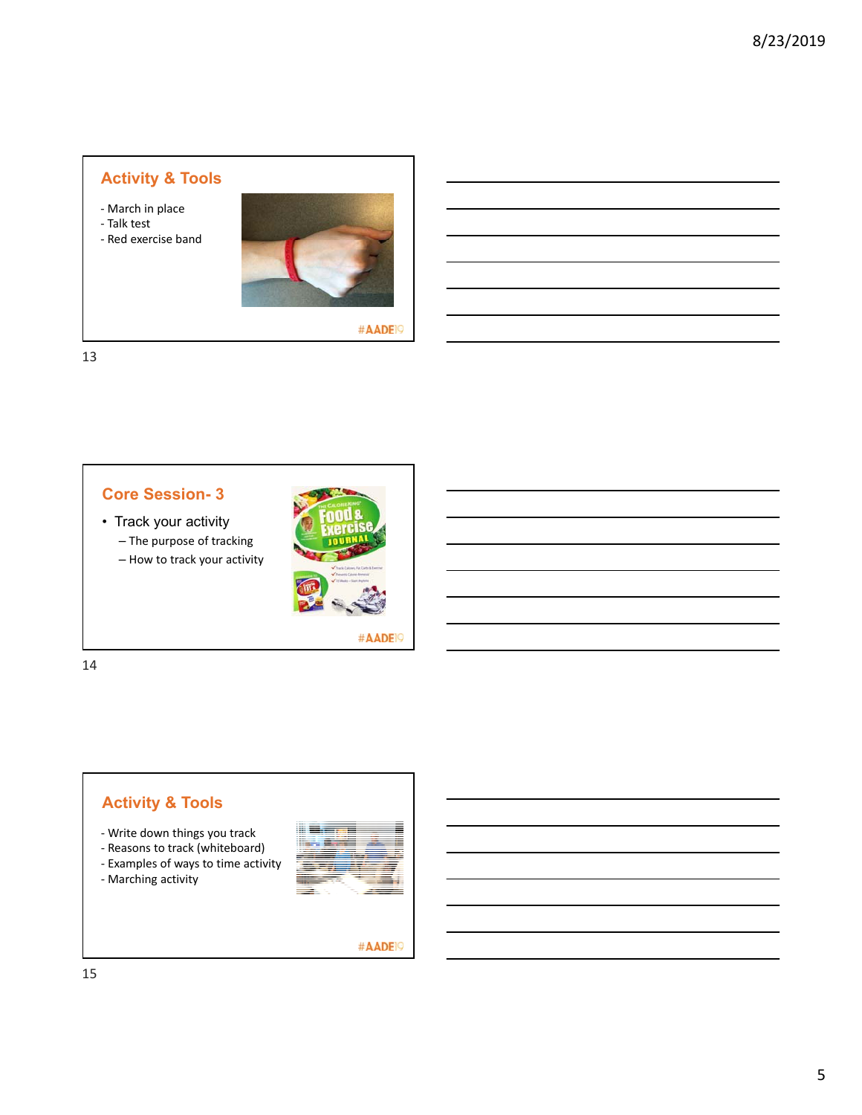- ‐ March in place
- ‐ Talk test
- ‐ Red exercise band



#AADE<sup>19</sup>

13



- Track your activity – The purpose of tracking
	- How to track your activity



#AADE<sup>19</sup>

14



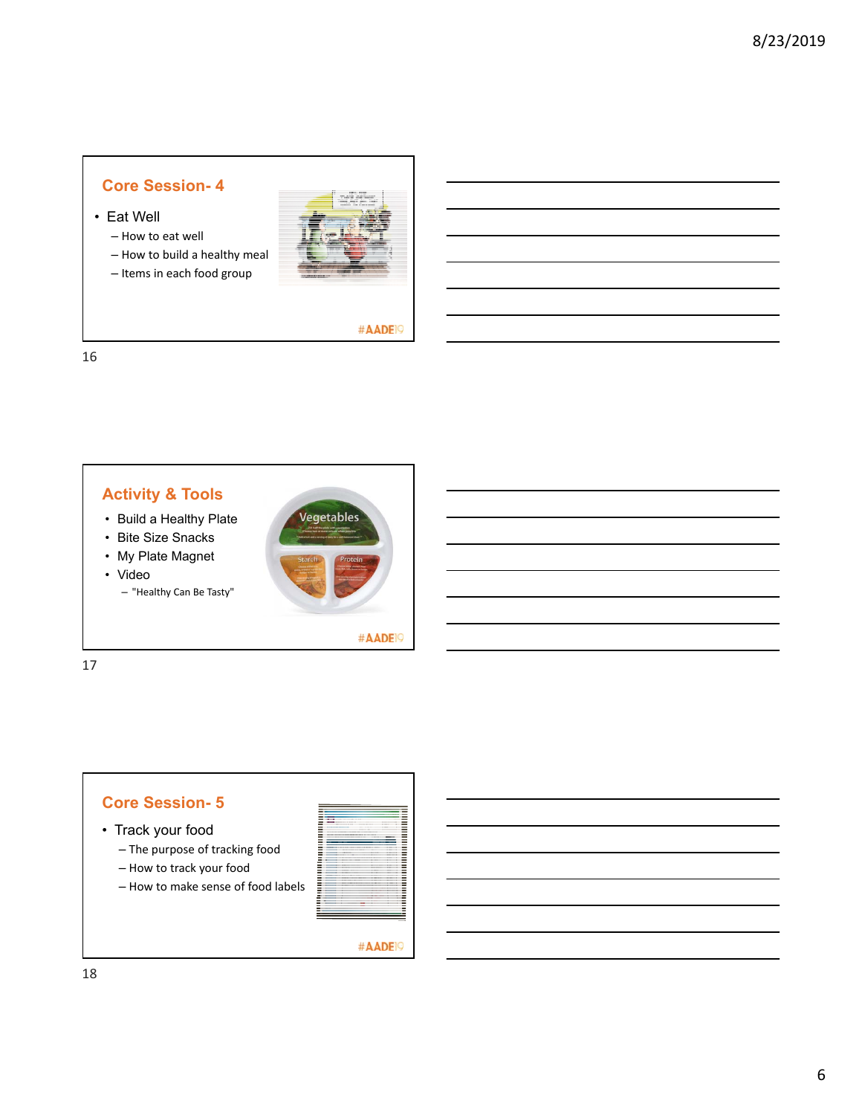- Eat Well
	- How to eat well
	- How to build a healthy meal
	- Items in each food group



#AADE<sup>19</sup>

16



#AADE<sup>19</sup>

17

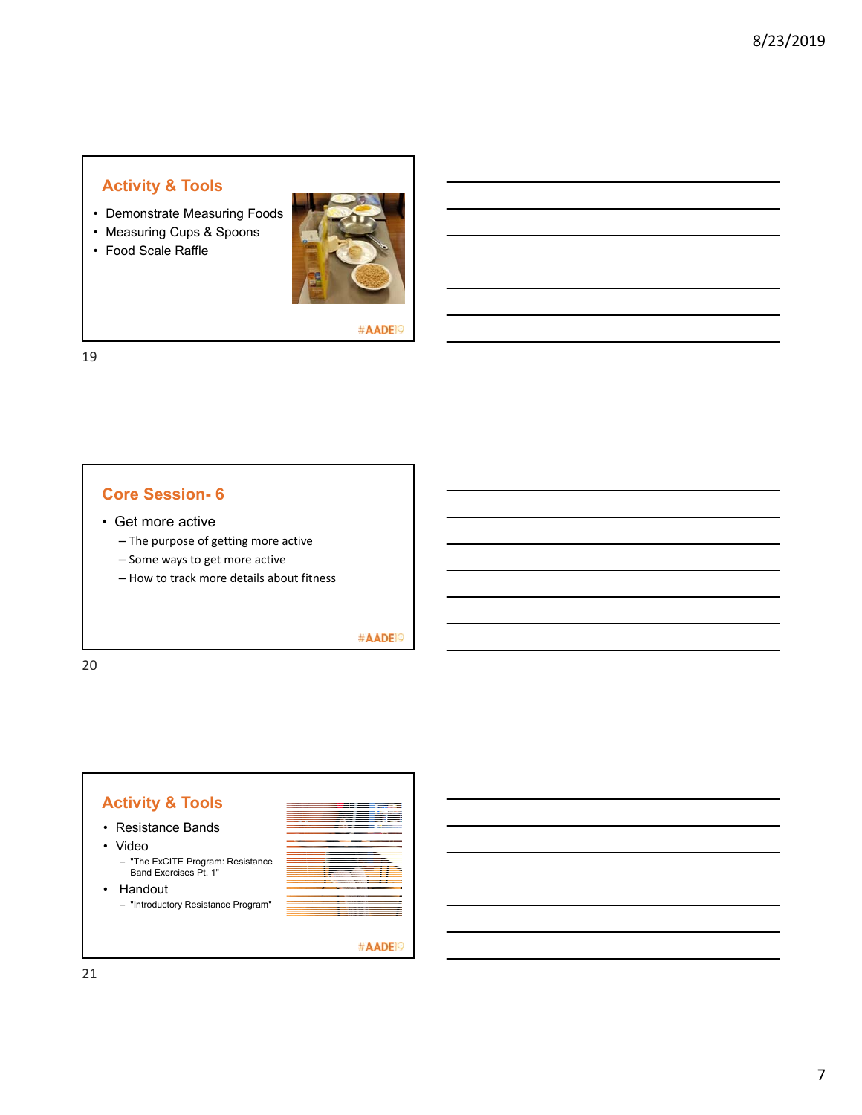- Demonstrate Measuring Foods
- Measuring Cups & Spoons
- Food Scale Raffle



#AADE<sup>19</sup>

19

### **Core Session- 6**

- Get more active
	- The purpose of getting more active
	- Some ways to get more active
	- How to track more details about fitness

#AADE<sup>19</sup>

20

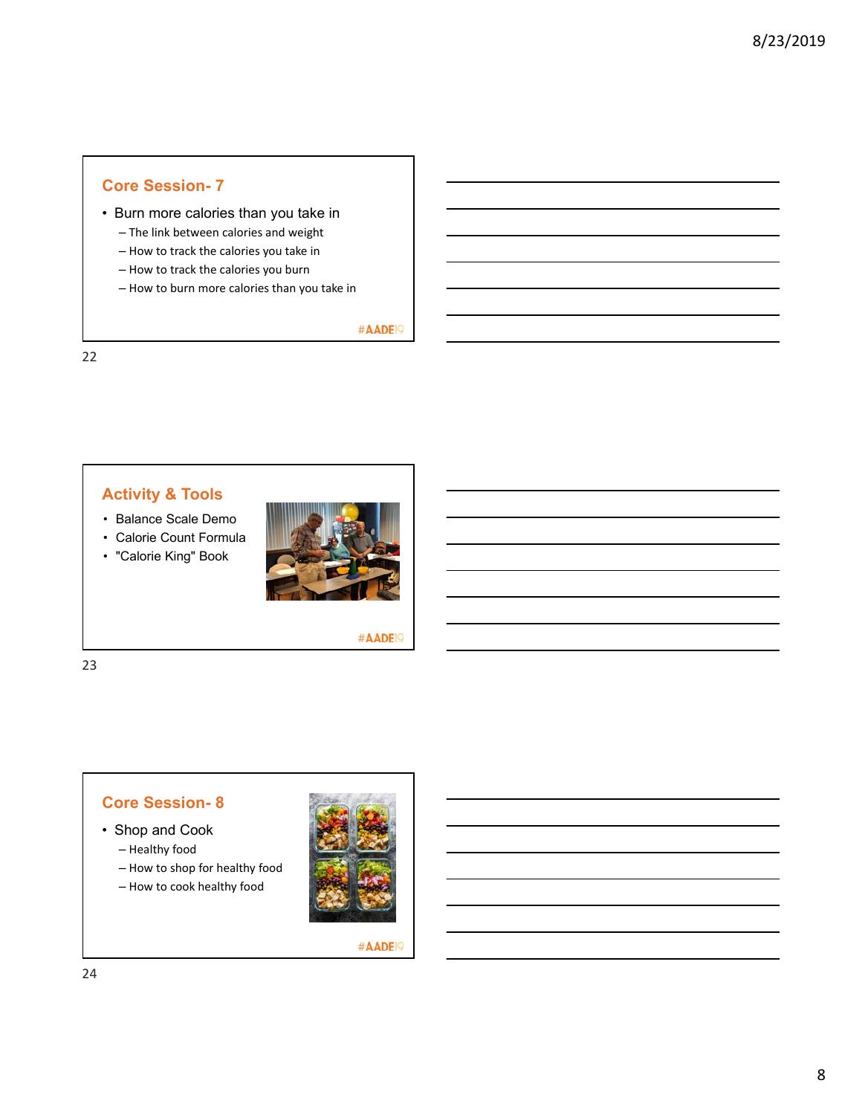- Burn more calories than you take in
	- The link between calories and weight
	- How to track the calories you take in
	- How to track the calories you burn
	- How to burn more calories than you take in

#AADE<sup>19</sup>

22

## **Activity & Tools**

- Balance Scale Demo
- Calorie Count Formula
- "Calorie King" Book



#AADE<sup>19</sup>

23

## **Core Session- 8**

- Shop and Cook
	- Healthy food
	- How to shop for healthy food
	- How to cook healthy food

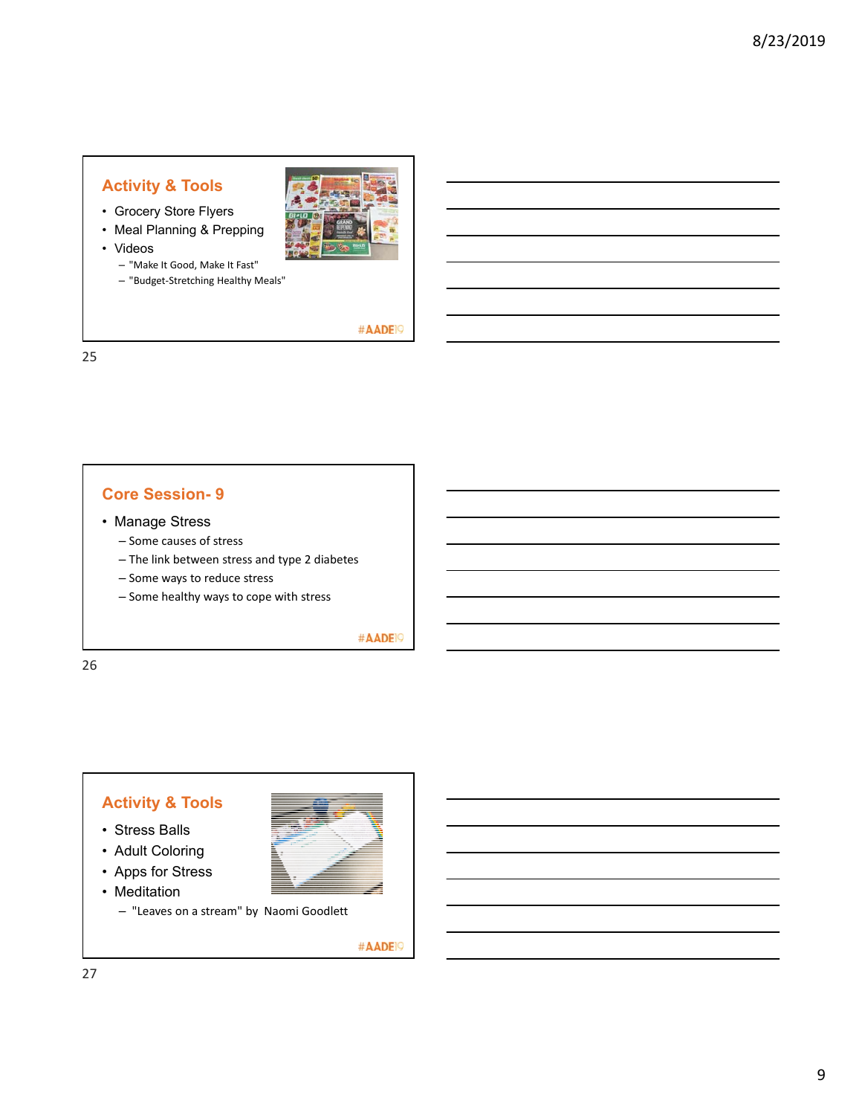- Grocery Store Flyers
- Meal Planning & Prepping
- Videos
	- "Make It Good, Make It Fast"
	- "Budget‐Stretching Healthy Meals"



#AADE<sup>19</sup>

25

#### **Core Session- 9**

- Manage Stress
	- Some causes of stress
	- The link between stress and type 2 diabetes
	- Some ways to reduce stress
	- Some healthy ways to cope with stress

#AADE<sup>19</sup>

26

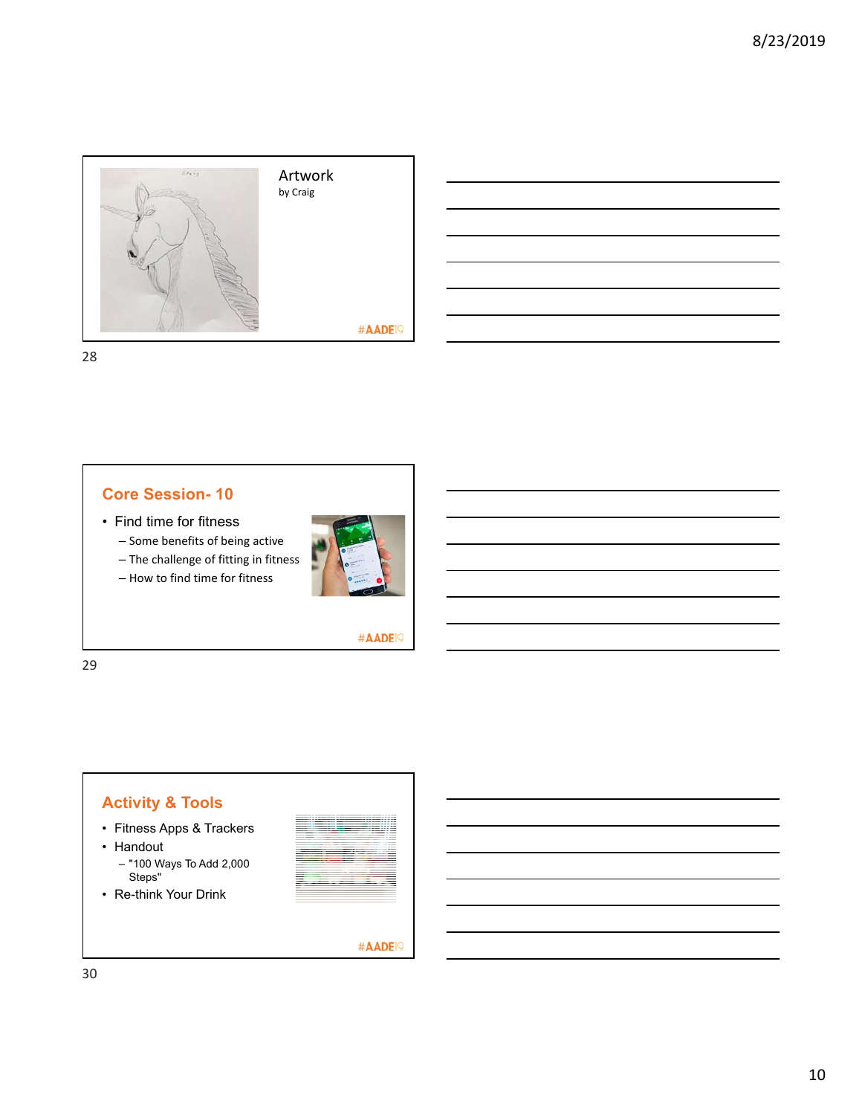



28

### **Core Session- 10**

- Find time for fitness
	- Some benefits of being active
	- The challenge of fitting in fitness
	- How to find time for fitness



#AADE<sup>19</sup>

29

# **Activity & Tools**

- Fitness Apps & Trackers
- Handout
	- "100 Ways To Add 2,000 Steps"
- Re-think Your Drink

|         |                    |        | _____ |
|---------|--------------------|--------|-------|
|         |                    |        |       |
|         |                    |        |       |
|         |                    |        |       |
|         |                    |        |       |
|         |                    |        |       |
|         |                    |        |       |
|         |                    |        |       |
|         |                    |        |       |
|         |                    |        |       |
|         | __________________ |        |       |
| ___     |                    |        |       |
|         |                    |        |       |
|         |                    |        |       |
|         |                    |        |       |
|         |                    |        |       |
| _______ |                    |        |       |
|         |                    |        |       |
|         |                    |        | _     |
|         |                    |        |       |
| ___     |                    |        |       |
| ____    |                    | _____  |       |
|         |                    | ____   |       |
|         |                    | ------ |       |
| _______ |                    |        |       |
|         | ____               |        |       |
|         |                    |        |       |
|         |                    |        |       |
|         |                    | $\sim$ |       |
|         |                    |        |       |
|         |                    |        |       |
|         |                    |        |       |
|         |                    |        |       |
|         |                    |        |       |
|         |                    |        |       |
|         |                    |        |       |

#AADE<sup>19</sup>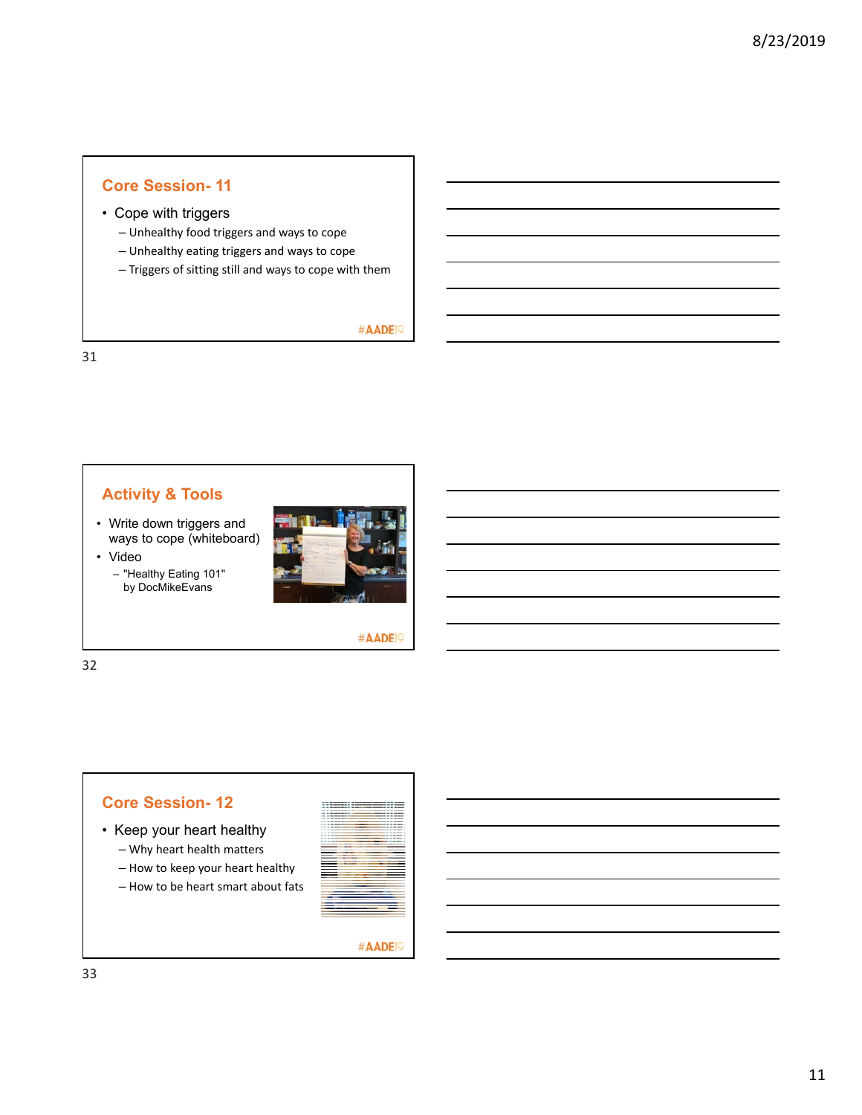### • Cope with triggers

- Unhealthy food triggers and ways to cope
- Unhealthy eating triggers and ways to cope
- Triggers of sitting still and ways to cope with them

#AADE<sup>19</sup>

31

## **Activity & Tools**

• Write down triggers and ways to cope (whiteboard) • Video

> – "Healthy Eating 101" by DocMikeEvans





32



- Keep your heart healthy – Why heart health matters
	- How to keep your heart healthy
	- How to be heart smart about fats

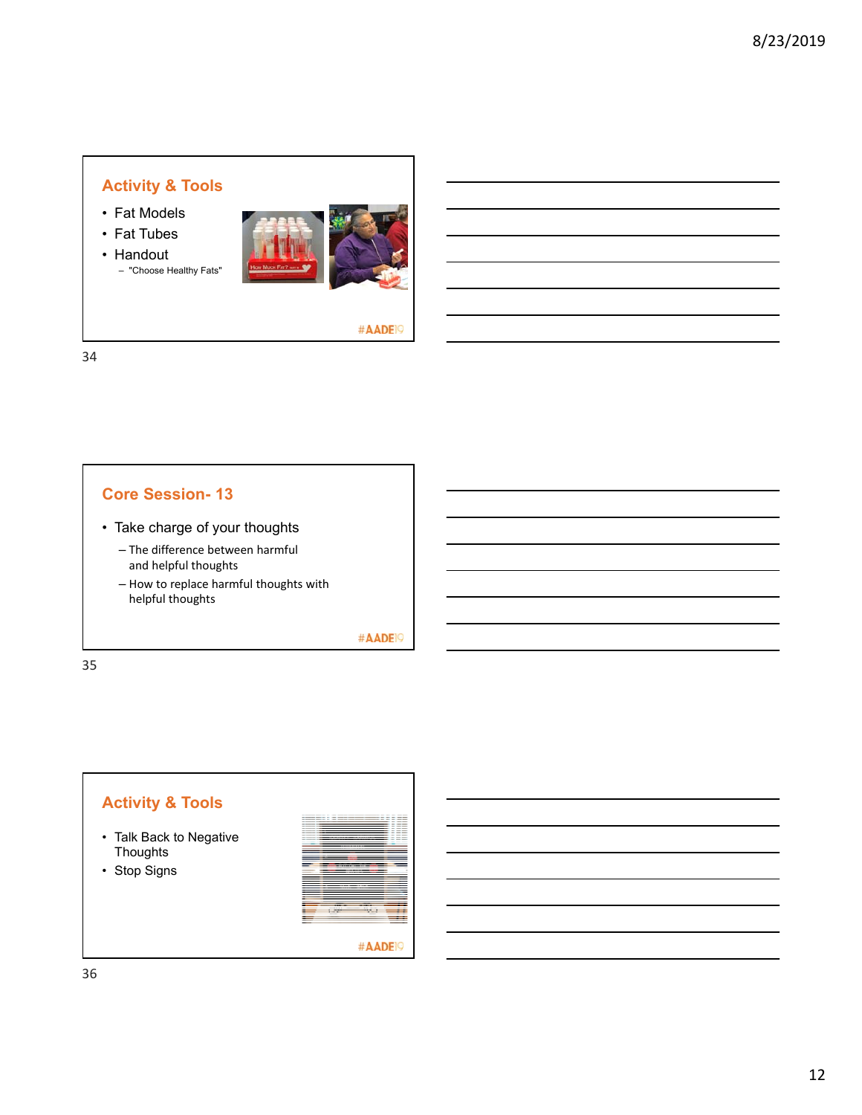- Fat Models
- Fat Tubes
- Handout – "Choose Healthy Fats"



#AADE<sup>19</sup>

34

## **Core Session- 13**

- Take charge of your thoughts
	- The difference between harmful and helpful thoughts
	- How to replace harmful thoughts with helpful thoughts

#AADE<sup>19</sup>

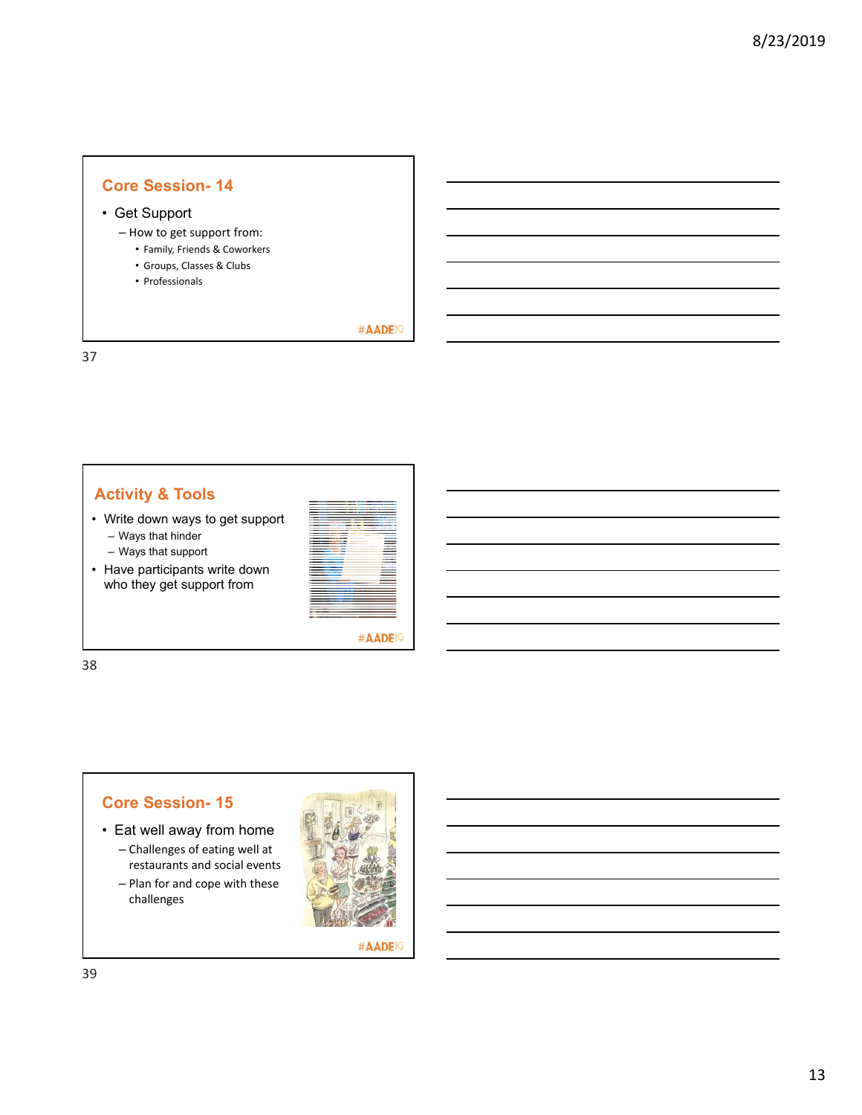### • Get Support

- How to get support from:
	- Family, Friends & Coworkers
	- Groups, Classes & Clubs
	- Professionals

#AADE<sup>19</sup>

37

## **Activity & Tools**

- Write down ways to get support
	- Ways that hinder
	- Ways that support
- Have participants write down who they get support from

|     | ____                     |
|-----|--------------------------|
|     |                          |
|     |                          |
|     |                          |
|     |                          |
|     |                          |
|     | ٠                        |
|     | ۰                        |
|     |                          |
|     |                          |
|     | ۰                        |
|     |                          |
|     |                          |
|     | ۰                        |
|     |                          |
| . . | ۰                        |
| -   | $\overline{\phantom{a}}$ |
|     | <b>STATISTICS</b>        |
|     | _____                    |
|     |                          |
|     | $\overline{\phantom{a}}$ |
| ۰   | _____                    |
|     | ----                     |
|     |                          |
|     | -----                    |
|     | ____                     |
|     | _____                    |
|     | ___                      |
|     |                          |
|     |                          |
|     |                          |
|     |                          |
|     |                          |
| -   |                          |
|     |                          |
|     |                          |
|     |                          |
|     |                          |
|     |                          |
|     |                          |
|     |                          |
| ٠   |                          |
| ۰   |                          |
|     |                          |
|     |                          |
|     |                          |
|     |                          |
|     |                          |

#AADE<sup>19</sup>

38

### **Core Session- 15**

- Eat well away from home
	- Challenges of eating well at restaurants and social events
	- Plan for and cope with these challenges

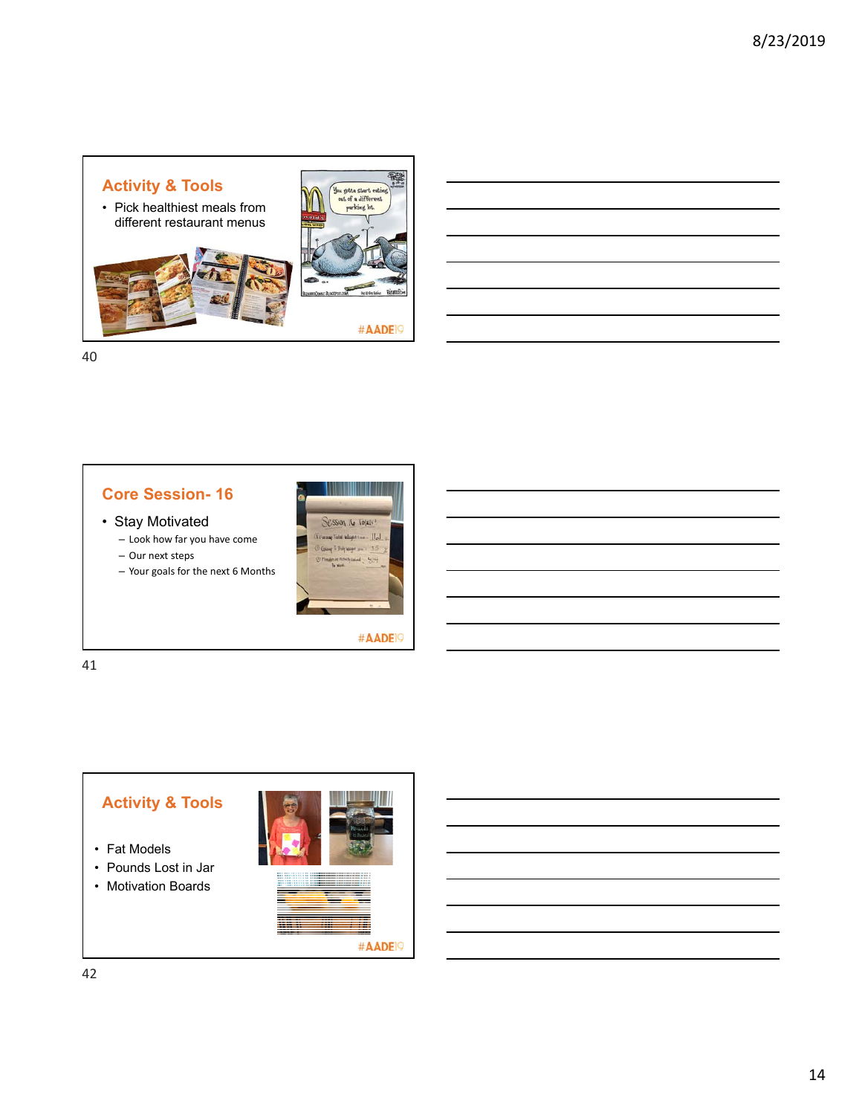







#AADE<sup>19</sup>

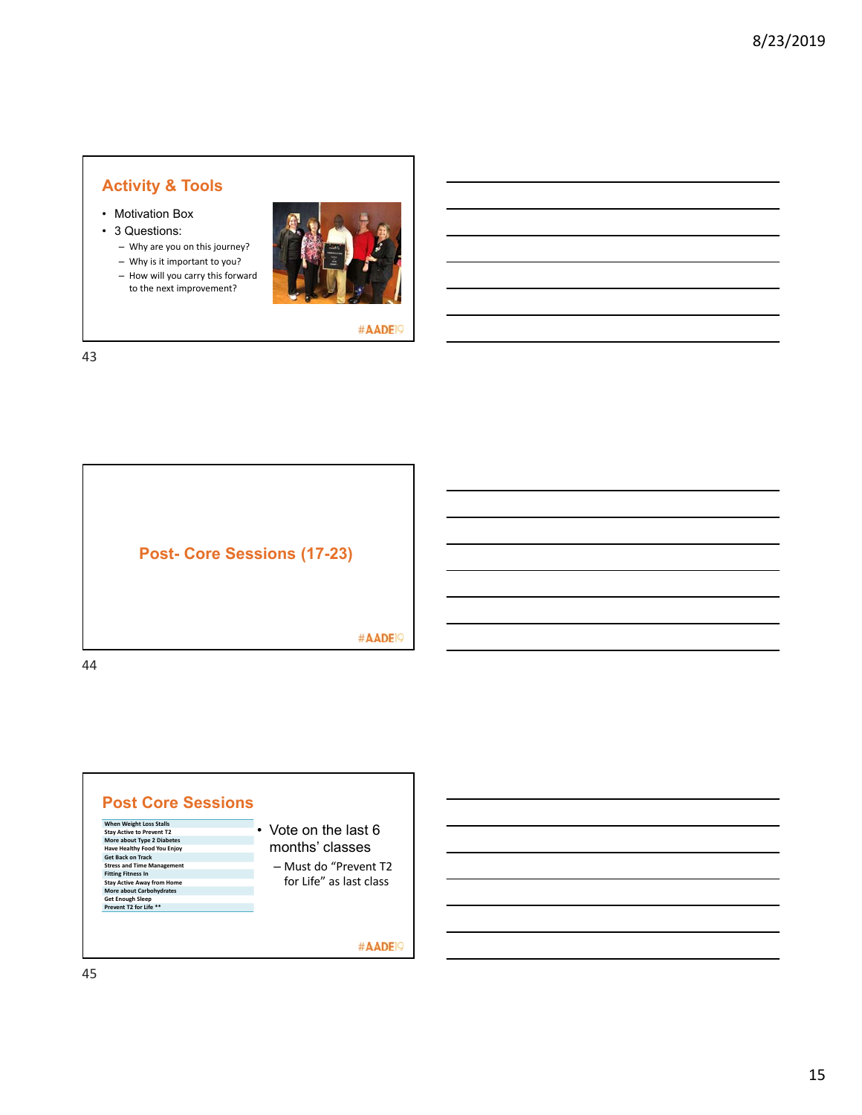- Motivation Box
- 3 Questions:
	- Why are you on this journey?
	- Why is it important to you?
	- How will you carry this forward to the next improvement?



#AADE<sup>19</sup>



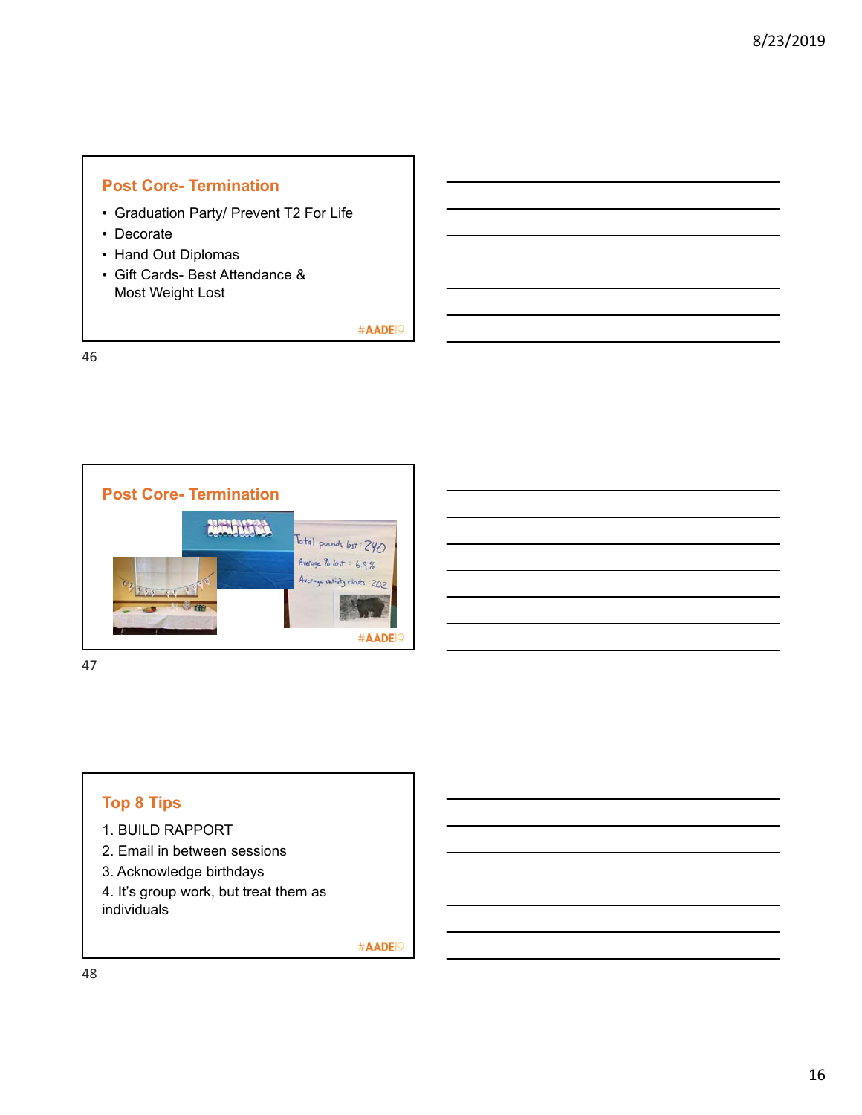### **Post Core- Termination**

- Graduation Party/ Prevent T2 For Life
- Decorate
- Hand Out Diplomas
- Gift Cards- Best Attendance & Most Weight Lost

#AADE<sup>19</sup>

46



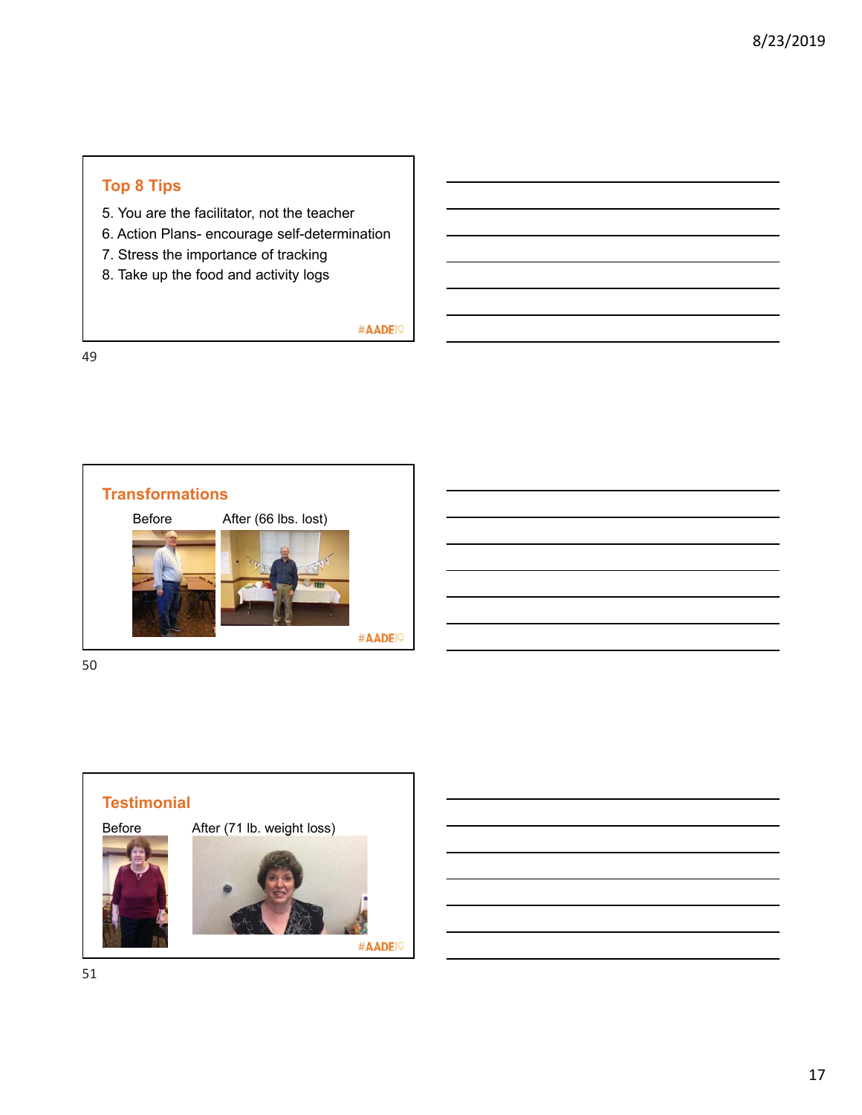## **Top 8 Tips**

- 5. You are the facilitator, not the teacher
- 6. Action Plans- encourage self-determination
- 7. Stress the importance of tracking
- 8. Take up the food and activity logs

#AADE<sup>19</sup>

49